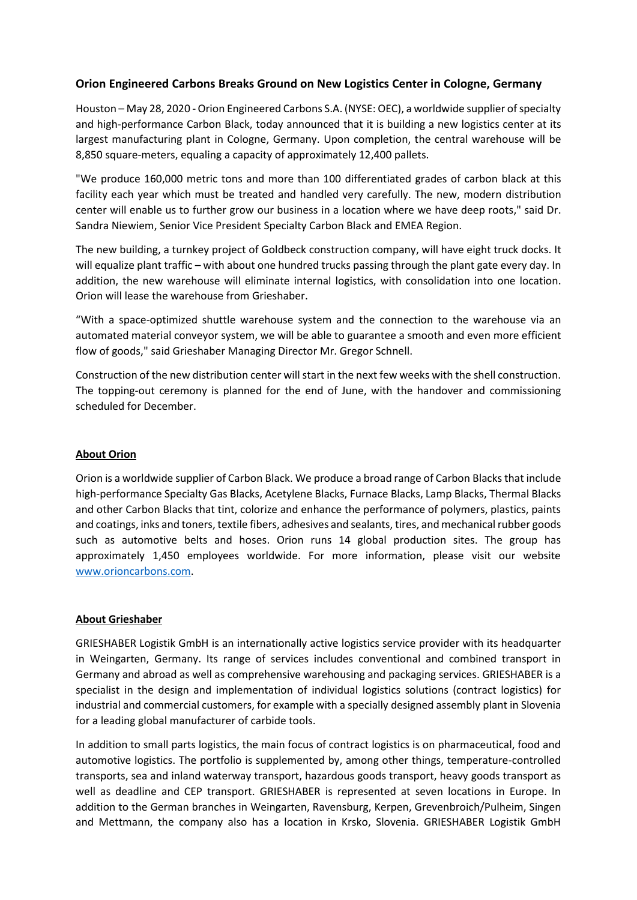## **Orion Engineered Carbons Breaks Ground on New Logistics Center in Cologne, Germany**

Houston – May 28, 2020 - Orion Engineered Carbons S.A. (NYSE: OEC), a worldwide supplier of specialty and high-performance Carbon Black, today announced that it is building a new logistics center at its largest manufacturing plant in Cologne, Germany. Upon completion, the central warehouse will be 8,850 square-meters, equaling a capacity of approximately 12,400 pallets.

"We produce 160,000 metric tons and more than 100 differentiated grades of carbon black at this facility each year which must be treated and handled very carefully. The new, modern distribution center will enable us to further grow our business in a location where we have deep roots," said Dr. Sandra Niewiem, Senior Vice President Specialty Carbon Black and EMEA Region.

The new building, a turnkey project of Goldbeck construction company, will have eight truck docks. It will equalize plant traffic – with about one hundred trucks passing through the plant gate every day. In addition, the new warehouse will eliminate internal logistics, with consolidation into one location. Orion will lease the warehouse from Grieshaber.

"With a space-optimized shuttle warehouse system and the connection to the warehouse via an automated material conveyor system, we will be able to guarantee a smooth and even more efficient flow of goods," said Grieshaber Managing Director Mr. Gregor Schnell.

Construction of the new distribution center will start in the next few weeks with the shell construction. The topping-out ceremony is planned for the end of June, with the handover and commissioning scheduled for December.

## **About Orion**

Orion is a worldwide supplier of Carbon Black. We produce a broad range of Carbon Blacks that include high-performance Specialty Gas Blacks, Acetylene Blacks, Furnace Blacks, Lamp Blacks, Thermal Blacks and other Carbon Blacks that tint, colorize and enhance the performance of polymers, plastics, paints and coatings, inks and toners, textile fibers, adhesives and sealants, tires, and mechanical rubber goods such as automotive belts and hoses. Orion runs 14 global production sites. The group has approximately 1,450 employees worldwide. For more information, please visit our website [www.orioncarbons.com.](http://www.orioncarbons.com/)

## **About Grieshaber**

GRIESHABER Logistik GmbH is an internationally active logistics service provider with its headquarter in Weingarten, Germany. Its range of services includes conventional and combined transport in Germany and abroad as well as comprehensive warehousing and packaging services. GRIESHABER is a specialist in the design and implementation of individual logistics solutions (contract logistics) for industrial and commercial customers, for example with a specially designed assembly plant in Slovenia for a leading global manufacturer of carbide tools.

In addition to small parts logistics, the main focus of contract logistics is on pharmaceutical, food and automotive logistics. The portfolio is supplemented by, among other things, temperature-controlled transports, sea and inland waterway transport, hazardous goods transport, heavy goods transport as well as deadline and CEP transport. GRIESHABER is represented at seven locations in Europe. In addition to the German branches in Weingarten, Ravensburg, Kerpen, Grevenbroich/Pulheim, Singen and Mettmann, the company also has a location in Krsko, Slovenia. GRIESHABER Logistik GmbH